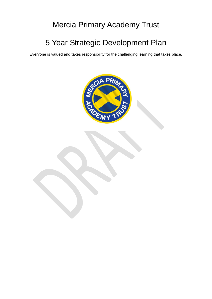## Mercia Primary Academy Trust

# 5 Year Strategic Development Plan

Everyone is valued and takes responsibility for the challenging learning that takes place.

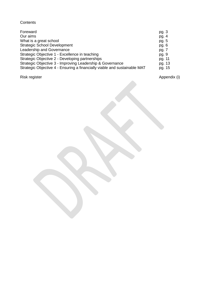## **Contents**

| pg. $3$ |
|---------|
| pg. $4$ |
| pg. 5   |
| pg. $6$ |
| pg. 7   |
| pg. 9   |
| pg. 11  |
| pg. 13  |
| pg. 15  |
|         |

Risk register Appendix (i) and the extent of the Appendix (i) and the Appendix (i)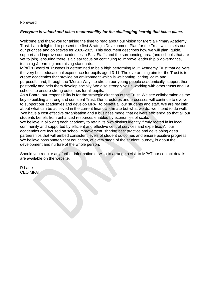#### Foreward

#### *Everyone is valued and takes responsibility for the challenging learnig that takes place.*

Welcome and thank you for taking the time to read about our vision for Mercia Primary Academy Trust. I am delighted to present the first Strategic Development Plan for the Trust which sets out our priorities and objectives for 2020-2025. This document describes how we will plan, guide, support and improve our academies in East Staffs and the surrounding area (and schools that are yet to join), ensuring there is a clear focus on continuing to improve leadership & governance, teaching & learning and raising standards.

MPAT's Board of Trustees is determined to be a high performing Multi Academy Trust that delivers the very best educational experience for pupils aged 3-11. The overarching aim for the Trust is to create academies that provide an environment which is welcoming, caring, calm and purposeful and, through the 'Mercia Way', to stretch our young people academically, support them pastorally and help them develop socially. We also strongly value working with other trusts and LA schools to ensure strong outcomes for all pupils.

As a Board, our responsibility is for the strategic direction of the Trust. We see collaboration as the key to building a strong and confident Trust. Our structures and processes will continue to evolve to support our academies and develop MPAT to benefit all our students and staff. We are realistic about what can be achieved in the current financial climate but what we do, we intend to do well. We have a cost effective organisation and a business model that delivers efficiency, so that all our students benefit from enhanced resources enabled by economies of scale.

We believe in allowing each academy to retain its own distinct identity, firmly rooted in its local community and supported by efficient and effective central services and expertise. All our academies are focused on school improvement, sharing best practice and developing deep partnerships that will embed consistent levels of student outcomes and ensure positive progress. We believe passionately that education, at every stage of the student journey, is about the development and nurture of the whole person.

Should you require any further information or wish to arrange a visit to MPAT our contact details are available on the website.

R Lane CEO MPAT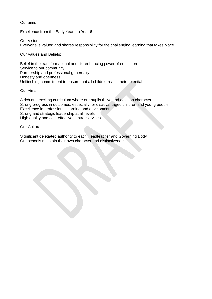Our aims

Excellence from the Early Years to Year 6

Our Vision: Everyone is valued and shares responsibility for the challenging learning that takes place

Our Values and Beliefs:

Belief in the transformational and life-enhancing power of education Service to our community Partnership and professional generosity Honesty and openness Unflinching commitment to ensure that all children reach their potential

Our Aims:

A rich and exciting curriculum where our pupils thrive and develop character Strong progress in outcomes, especially for disadvantaged children and young people Excellence in professional learning and development Strong and strategic leadership at all levels High quality and cost-effective central services

Our Culture:

Significant delegated authority to each Headteacher and Governing Body Our schools maintain their own character and distinctiveness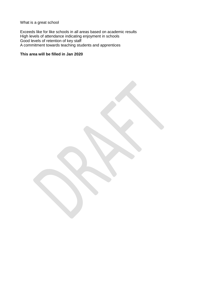What is a great school

Exceeds like for like schools in all areas based on academic results High levels of attendance indicating enjoyment in schools Good levels of retention of key staff A commitment towards teaching students and apprentices

#### **This area will be filled in Jan 2020**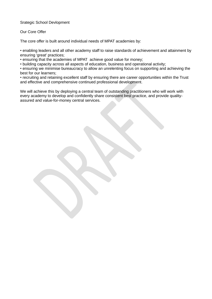#### Srategic School Devlopment

#### Our Core Offer

The core offer is built around individual needs of MPAT academies by:

• enabling leaders and all other academy staff to raise standards of achievement and attainment by ensuring 'great' practices;

• ensuring that the academies of MPAT achieve good value for money;

• building capacity across all aspects of education, business and operational activity;

• ensuring we minimise bureaucracy to allow an unrelenting focus on supporting and achieving the best for our learners;

• recruiting and retaining excellent staff by ensuring there are career opportunities within the Trust and effective and comprehensive continued professional development.

We will achieve this by deploying a central team of outstanding practitioners who will work with every academy to develop and confidently share consistent best practice, and provide qualityassured and value-for-money central services.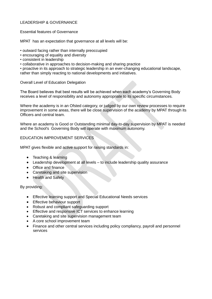#### LEADERSHIP & GOVERNANCE

Essential features of Governance

MPAT has an expectation that governance at all levels will be:

• outward facing rather than internally preoccupied

- encouraging of equality and diversity
- consistent in leadership
- collaborative in approaches to decision-making and sharing practice

• proactive in its approach to strategic leadership in an ever-changing educational landscape, rather than simply reacting to national developments and initiatives.

#### Overall Level of Education Delegation

The Board believes that best results will be achieved when each academy's Governing Body receives a level of responsibility and autonomy appropriate to its specific circumstances.

Where the academy is in an Ofsted category, or judged by our own review processes to require improvement in some areas, there will be close supervision of the academy by MPAT through its Officers and central team.

Where an academy is Good or Outstanding minimal day-to-day supervision by MPAT is needed and the School's Governing Body will operate with maximum autonomy.

#### EDUCATION IMPROVEMENT SERVICES

MPAT gives flexible and active support for raising standards in:

- Teaching & learning
- Leadership development at all levels to include leadership quality assurance
- Office and finance
- Caretaking and site supervision
- Health and Safety

By providing:

- Effective learning support and Special Educational Needs services
- Effective behaviour support
- Robust and compliant safeguarding support
- Effective and responsive ICT services to enhance learning
- Caretaking and site supervision management team
- A core school improvement team
- Finance and other central services including policy compliancy, payroll and personnel services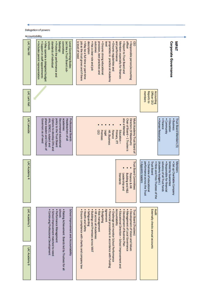| Delegation of powers            |                                                                                                                                                                                                                                                                    |                                                                                                                                                                                                                                                                                                                                                                                                                                                                                                                                         |                                                                                                                                                                                                                                                                                                        |
|---------------------------------|--------------------------------------------------------------------------------------------------------------------------------------------------------------------------------------------------------------------------------------------------------------------|-----------------------------------------------------------------------------------------------------------------------------------------------------------------------------------------------------------------------------------------------------------------------------------------------------------------------------------------------------------------------------------------------------------------------------------------------------------------------------------------------------------------------------------------|--------------------------------------------------------------------------------------------------------------------------------------------------------------------------------------------------------------------------------------------------------------------------------------------------------|
| Accountability<br>LAC Flax Hill | schools<br>standards of individual<br>committee<br>· May operate a delegated budget<br>• Protect the performance and<br>Meetings:<br>(act like a Trust Board sub-<br>Local Governing Bodies<br>· Includes parent representation<br>· Support in staff appointments | outcomes<br>proprieties in practice at Academy<br>and performance<br>officer<br><b>GEO</b><br>is level of need<br>. May be a full time or part-time<br>description<br>provision, best practices and<br>· Ensures strong educational<br>Members especially for finances<br>· Responsible person/accounting<br>job as the trust grows and if there<br>. Has a clear role and job<br>Evel<br>• Ensures regularities and<br>· Report to Trust Board and                                                                                     | MPAIN<br><b>Corporate Governance</b>                                                                                                                                                                                                                                                                   |
| LAC Lark Hall                   |                                                                                                                                                                                                                                                                    |                                                                                                                                                                                                                                                                                                                                                                                                                                                                                                                                         | members<br><b>Reports to</b><br><b>Officer CEO</b><br>Accounting                                                                                                                                                                                                                                       |
| LAC Lakeside                    | academies<br>AHs, SENCO, subject and<br>Options to develop DHs and<br>policy to the Trust Board<br>Recommend educational<br>Headteachers of all<br><b>Professional Boards</b><br>Governors as of need<br>phase leaders and Chairs of                               | also a Member<br>Directors (9 Maximum)<br>Multi Academy Trust Board of<br>Chair of Board - 1 Trustee is<br>œ<br>Premises<br>Primary, ITT<br>Education-<br>HR /Business<br>Finance<br>Legal                                                                                                                                                                                                                                                                                                                                              | • Business<br>Trust Board Members (5)<br>· Human Resources<br>• Education<br>• Finance<br>· Community                                                                                                                                                                                                  |
| LAC Academy 4                   |                                                                                                                                                                                                                                                                    | <b>Trust Board Committees</b><br><b>Building and H&amp;S</b><br><b>Finance &amp; HR</b><br>Standards<br>Leadership<br>pue                                                                                                                                                                                                                                                                                                                                                                                                               | solvency of all Trust funds<br>limited by Guarantee<br>· Set up Charitable Company<br><b>Members</b><br>performance across the Trust<br><b>Trust Board</b><br>· Responsible for financial<br>• Appoints leaders<br>· Overview of educational<br>. Hires and Fires Trustees of the<br>(Academy budgets) |
| LAC Academy 5                   | <b>Schools</b><br>School Improvement and Accountability<br>· Continuing Professional Development<br>. Raising Achievement Boards led by Trustees for all<br>· Performance Management<br>· School Improvement matched to need                                       | • Budgeting<br>. Ensure compliance with charity and company law<br>· HR across all Academies<br>· Risk management<br>Agreement<br>. Financial procedures in accordance with Funding<br>. Challenge and monitor School Performance<br>· Development of Business Plan<br>· Management of Local Governance<br>· Development of Vision and Values<br>. Health and Safety<br><b>Accountability</b><br>. Educational Direction - School Improvement and<br><b>Trust Board (Trustees)</b><br>Safeguarding<br>Buildings and Premises across MAT | Externally checks annual accounts<br>Audit                                                                                                                                                                                                                                                             |
| LAC Academy 6                   |                                                                                                                                                                                                                                                                    |                                                                                                                                                                                                                                                                                                                                                                                                                                                                                                                                         |                                                                                                                                                                                                                                                                                                        |

**A**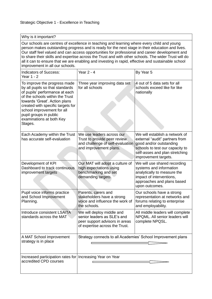#### Why is it important?

Our schools are centres of excellence in teaching and learning where every child and young person makes outstanding progress and is ready for the next stage in their education and lives. Our staff feel valued and can access opportunities for professional and career development and to share their skills and expertise across the Trust and with other schools. The wider Trust will do all it can to ensure that we are enabling and investing in rapid, effective and sustainable school improvement in all our schools.

| <b>Indicators of Success:</b><br>Year 1 - 2                                                                                                                                                                                                                                                               | <b>Year 2 - 4</b>                                                                                                            | By Year 5                                                                                                                                                                                |
|-----------------------------------------------------------------------------------------------------------------------------------------------------------------------------------------------------------------------------------------------------------------------------------------------------------|------------------------------------------------------------------------------------------------------------------------------|------------------------------------------------------------------------------------------------------------------------------------------------------------------------------------------|
| To improve the progress made<br>by all pupils so that standards<br>of pupils' performance at each<br>of the schools within the Trust<br>towards 'Great'. Action plans<br>created with specific targets for<br>school improvement for all<br>pupil groups in public<br>examinations at both Key<br>Stages. | Three year improving data set<br>for all schools                                                                             | 4 out of 5 data sets for all<br>schools exceed like for like<br>nationally                                                                                                               |
| Each Academy within the Trust<br>has accurate self-evaluation                                                                                                                                                                                                                                             | We use leaders across our<br>Trust to provide peer review.<br>and challenge of self-evaluation<br>and improvement plans.     | We will establish a network of<br>external "audit" partners from<br>good and/or outstanding<br>schools to test our capacity to<br>self-asses and plan stretching<br>improvement targets. |
| Development of KPI<br>Dashboard to track continuous<br>improvement targets                                                                                                                                                                                                                                | Our MAT will adopt a culture of<br>high expectations using<br>benchmarking and set<br>demanding targets.                     | We will use shared recording<br>systems and information<br>analytically to measure the<br>impact of interventions,<br>approaches and plans based<br>upon outcomes.                       |
| Pupil voice informs practice<br>and School Improvement<br>Planning.                                                                                                                                                                                                                                       | Parents, carers and<br>stakeholders have a strong<br>voice and influence the work of<br>the schools.                         | Our schools have a strong<br>representation at networks and<br>forums relating to enterprise<br>and employability.                                                                       |
| Introduce consistent LSA/TA<br>standards across the MAT                                                                                                                                                                                                                                                   | We will deploy middle and<br>senior leaders as SLE's and<br>peer support advisors in areas<br>of expertise across the Trust. | All middle leaders will complete<br>NPQML, All senior leaders will<br>complete NPQSL.                                                                                                    |
| A MAT School improvement<br>strategy is in place                                                                                                                                                                                                                                                          | Strategy connects to all Academies' School Improvement plans                                                                 |                                                                                                                                                                                          |
| Increased participation rates for<br>accredited CPD courses                                                                                                                                                                                                                                               | Increasing Year on Year                                                                                                      |                                                                                                                                                                                          |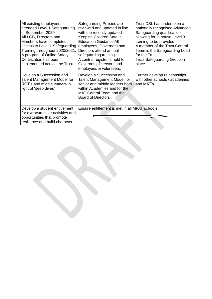| All existing employees<br>attended Level 1 Safeguarding<br>in September 2020.<br>All LGB, Directors and<br>Members have completed<br>access to Level 1 Safeguarding<br>Training throughout 2020/2021.<br>A program of Online Safety<br>Certification has been<br>implemented across the Trust | Safeguarding Policies are<br>reviewed and updated in line<br>with the recently updated<br>Keeping Children Safe in<br><b>Education Guidance All</b><br>employees, Governors and<br>Directors attend annual<br>safeguarding training.<br>A central register is held for<br>Governors, Directors and<br>employees & volunteers. | Trust DSL has undertaken a<br>nationally recognised Advanced<br>Safeguarding qualification<br>allowing for in house Level 3<br>training to be provided.<br>A member of the Trust Central<br>Team is the Safeguarding Lead<br>for the Trust.<br>Trust Safeguarding Group in<br>place. |
|-----------------------------------------------------------------------------------------------------------------------------------------------------------------------------------------------------------------------------------------------------------------------------------------------|-------------------------------------------------------------------------------------------------------------------------------------------------------------------------------------------------------------------------------------------------------------------------------------------------------------------------------|--------------------------------------------------------------------------------------------------------------------------------------------------------------------------------------------------------------------------------------------------------------------------------------|
| Develop a Succession and<br>Talent Management Model for<br>RQT's and middle leaders in<br>light of 'deep dives'                                                                                                                                                                               | Develop a Succession and<br>Talent Management Model for<br>senior and middle leaders both<br>within Academies and for the<br>MAT Central Team and the<br><b>Board of Directors</b>                                                                                                                                            | Further develop relationships<br>with other schools / academies<br>and MAT's                                                                                                                                                                                                         |
| Develop a student entitlement<br>for extracurricular activities and<br>opportunities that promote<br>resilience and build character.                                                                                                                                                          | Ensure entitlement is met in all MPAT schools                                                                                                                                                                                                                                                                                 |                                                                                                                                                                                                                                                                                      |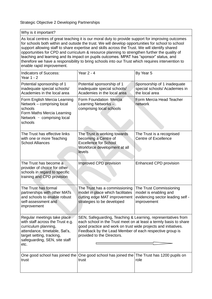Why is it important?

As local centres of great teaching it is our moral duty to provide support for improving outcomes for schools both within and outside the trust. We will develop opportunities for school to school support allowing staff to share expertise and skills across the Trust. We will identify shared opportunities for CPD and curriculum & resource planning to strengthen further the quality of teaching and learning and its impact on pupils outcomes. MPAT has "sponsor" status, and therefore we have a responsibility to bring schools into our Trust which requires intervention to enable rapid improvement.

| <b>Indicators of Success:</b><br>Year 1 - 2                                                                                                                                                    | Year 2 - 4                                                                                                                                                                                                                                                                                   | By Year 5                                                                                           |
|------------------------------------------------------------------------------------------------------------------------------------------------------------------------------------------------|----------------------------------------------------------------------------------------------------------------------------------------------------------------------------------------------------------------------------------------------------------------------------------------------|-----------------------------------------------------------------------------------------------------|
| Potential sponsorship of 1<br>inadequate special schools/<br>Academies in the local area                                                                                                       | Potential sponsorship of 1<br>inadequate special schools/<br>Academies in the local area                                                                                                                                                                                                     | Sponsorship of 1 inadequate<br>special schools/ Academies in<br>the local area                      |
| Form English Mercia Learning<br>Network - comprising local<br>schools<br>Form Maths Mercia Learning<br>Network - comprising local<br>schools                                                   | Form Foundation Mercia<br>Learning Networks -<br>comprising local schools                                                                                                                                                                                                                    | Form Mercia Head Teacher<br>network                                                                 |
| The Trust has effective links<br>with one or more Teaching<br><b>School Alliances</b>                                                                                                          | The Trust is working towards<br>becoming a Centre of<br><b>Excellence for School</b><br>Workforce development at all<br>levels                                                                                                                                                               | The Trust is a recognised<br><b>Centre of Excellence</b>                                            |
| The Trust has become a<br>provider of choice for other<br>schools in regard to specific<br>training and CPD provision                                                                          | Improved CPD provision                                                                                                                                                                                                                                                                       | <b>Enhanced CPD provision</b>                                                                       |
| The Trust has formal<br>partnerships with other MATs<br>and schools to enable robust<br>self-assessment and<br>improvement                                                                     | The Trust has a commissioning<br>model in place which facilitates<br>cutting edge MAT improvement<br>strategies to be developed                                                                                                                                                              | The Trust Commissioning<br>model is enabling and<br>evidencing sector leading self -<br>improvement |
| Regular meetings take place<br>with staff across the Trust e.g.<br>curriculum planning,<br>attendance, timetable, Sat's,<br>target setting, tracking,<br>safeguarding, SEN, site staff<br>etc. | SEN, Safeguarding, Teaching & Learning, representatives from<br>each school in the Trust meet on at least a termly basis to share<br>good practice and work on trust wide projects and initiatives.<br>Feedback by the Lead Member of each respective group is<br>provided to the Directors. |                                                                                                     |
| trust                                                                                                                                                                                          | One good school has joined the One good school has joined the The Trust has 1200 pupils on<br>trust                                                                                                                                                                                          | role                                                                                                |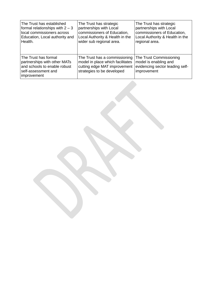| The Trust has established                                                                                                  | The Trust has strategic                                                                                                         | The Trust has strategic                                                                            |
|----------------------------------------------------------------------------------------------------------------------------|---------------------------------------------------------------------------------------------------------------------------------|----------------------------------------------------------------------------------------------------|
| formal relationships with $2 - 3$                                                                                          | partnerships with Local                                                                                                         | partnerships with Local                                                                            |
| local commissioners across                                                                                                 | commissioners of Education,                                                                                                     | commissioners of Education,                                                                        |
| Education, Local authority and                                                                                             | Local Authority & Health in the                                                                                                 | Local Authority & Health in the                                                                    |
| Health.                                                                                                                    | wider sub regional area.                                                                                                        | regional area.                                                                                     |
| The Trust has formal<br>partnerships with other MATs<br>and schools to enable robust<br>self-assessment and<br>improvement | The Trust has a commissioning<br>model in place which facilitates<br>cutting edge MAT improvement<br>strategies to be developed | The Trust Commissioning<br>model is enabling and<br>evidencing sector leading self-<br>improvement |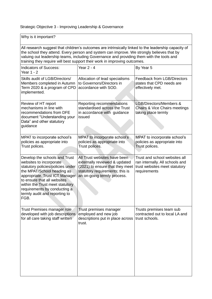## Strategic Objective 3 - Improving Leadership & Governance

| Why is it important?                                                                                                                                                                                                                                                                                                                                                       |                                                                                                                                                                    |                                                                                                                   |  |
|----------------------------------------------------------------------------------------------------------------------------------------------------------------------------------------------------------------------------------------------------------------------------------------------------------------------------------------------------------------------------|--------------------------------------------------------------------------------------------------------------------------------------------------------------------|-------------------------------------------------------------------------------------------------------------------|--|
| All research suggest that children's outcomes are intrinsically linked to the leadership capacity of<br>the school they attend. Every person and system can improve. We strongly believes that by<br>valuing out leadership teams, including Governance and providing them with the tools and<br>training they require will best support their work in improving outcomes. |                                                                                                                                                                    |                                                                                                                   |  |
| <b>Indicators of Success:</b><br>Year 1 - 2                                                                                                                                                                                                                                                                                                                                | <b>Year 2 - 4</b>                                                                                                                                                  | By Year 5                                                                                                         |  |
| Skills audit of LGB/Directors/<br>Members completed in Autumn<br>Term 2020 & a program of CPD<br>implemented.                                                                                                                                                                                                                                                              | Allocation of lead specialisms<br>to Governors/Directors in<br>accordance with SOD.                                                                                | <b>Feedback from LGB/Directors</b><br>states that CPD needs are<br>effectively met.                               |  |
| Review of HT report<br>mechanisms in line with<br>recommendations from DFE<br>document "Understanding your<br>Data" and other statutory<br>guidance                                                                                                                                                                                                                        | Reporting recommendations<br>standardised across the Trust<br>in accordance with guidance<br>issued                                                                | LGB/Directors/Members &<br>Chairs & Vice Chairs meetings<br>taking place termly                                   |  |
| MPAT to incorporate school's<br>policies as appropriate into<br>Trust polices.                                                                                                                                                                                                                                                                                             | MPAT to incorporate school's<br>policies as appropriate into<br>Trust polices.                                                                                     | MPAT to incorporate school's<br>policies as appropriate into<br>Trust polices.                                    |  |
| Develop the schools and Trust<br>websites to incorporate<br>statutory policies/policies under<br>the MPAT/School heading as<br>appropriate. Trust ICT Manager<br>to ensure that all websites<br>within the Trust meet statutory<br>requirements by conducting a<br>termly audit and reporting to<br>FGB.                                                                   | All Trust websites have been<br>externally reviewed & updated<br>(2021) to ensure that they meet<br>statutory requirements; this is<br>an on-going termly process. | Trust and school websites all<br>ran internally. All schools and<br>trust websites meet statutory<br>requirements |  |
| Trust Premises manager role<br>developed with job descriptions<br>for all care taking staff written                                                                                                                                                                                                                                                                        | Trust premises manager<br>employed and new job<br>descriptions put in place across<br>trust.                                                                       | Trusts premises team sub<br>contracted out to local LA and<br>trust schools.                                      |  |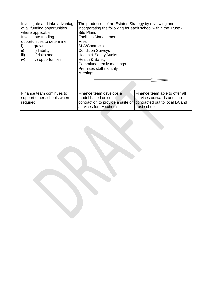| Investigate and take advantage<br>of all funding opportunities<br>where applicable<br>Investigate funding<br>opportunities to determine<br>growth,<br>i)<br>ii)<br>ii) liability<br>iii)<br>iii)risks and<br>iv) opportunities<br>iv) | The production of an Estates Strategy by reviewing and<br>incorporating the following for each school within the Trust: -<br><b>Site Plans</b><br><b>Facilities Management</b><br><b>Files</b><br><b>SLA/Contracts</b><br><b>Condition Surveys</b><br><b>Health &amp; Safety Audits</b><br>Health & Safety<br>Committee termly meetings<br>Premises staff monthly<br>Meetings |                                                                                                                 |
|---------------------------------------------------------------------------------------------------------------------------------------------------------------------------------------------------------------------------------------|-------------------------------------------------------------------------------------------------------------------------------------------------------------------------------------------------------------------------------------------------------------------------------------------------------------------------------------------------------------------------------|-----------------------------------------------------------------------------------------------------------------|
| Finance team continues to<br>support other schools when<br>required.                                                                                                                                                                  | Finance team develops a<br>model based on sub<br>contraction to provide a suite of<br>services for LA schools                                                                                                                                                                                                                                                                 | Finance team able to offer all<br>services outwards and sub<br>contracted out to local LA and<br>trust schools. |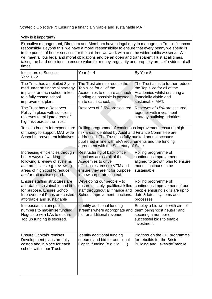### Strategic Objective 7: Ensuring a financially viable and sustainable MAT

| Why is it important?                                                                                                                                                                                                                                                                                                                                                                                                                                                                                                        |                                                                                                                                                                                                                                                                                      |                                                                                                                                               |
|-----------------------------------------------------------------------------------------------------------------------------------------------------------------------------------------------------------------------------------------------------------------------------------------------------------------------------------------------------------------------------------------------------------------------------------------------------------------------------------------------------------------------------|--------------------------------------------------------------------------------------------------------------------------------------------------------------------------------------------------------------------------------------------------------------------------------------|-----------------------------------------------------------------------------------------------------------------------------------------------|
| Executive management, Directors and Members have a legal duty to manage the Trust's finances<br>responsibly. Beyond this, we have a moral responsibility to ensure that every penny we spend is<br>in the pursuit of better services for the children we work with and the wider public we serve. We<br>will meet all our legal and moral obligations and be an open and transparent Trust at all times,<br>taking the hard decisions to ensure value for money, regularity and propriety are self-evident at all<br>times. |                                                                                                                                                                                                                                                                                      |                                                                                                                                               |
| <b>Indicators of Success:</b><br>Year 1 - 2                                                                                                                                                                                                                                                                                                                                                                                                                                                                                 | <b>Year 2 - 4</b>                                                                                                                                                                                                                                                                    | By Year 5                                                                                                                                     |
| The Trust has a detailed 3 year<br>medium-term financial strategy<br>in place for each school linked<br>to a fully costed school<br>improvement plan.                                                                                                                                                                                                                                                                                                                                                                       | The Trust aims to reduce the<br>Top slice for all of the<br>Academies to ensure as much<br>funding as possible is passed<br>on to each school.                                                                                                                                       | The Trust aims to further reduce<br>the Top slice for all of the<br>Academies whilst ensuring a<br>financially viable and<br>sustainable MAT. |
| The Trust has a Reserves<br>Policy in place with sufficient<br>reserves to mitigate areas of<br>high risk across the Trust.                                                                                                                                                                                                                                                                                                                                                                                                 | Reserves of 2-5% are secured                                                                                                                                                                                                                                                         | Reserves of >5% are secured<br>together with investment<br>strategy outlining priorities                                                      |
| To set a budget for expenditure<br>of money to support MAT wide<br>School Improvement initiatives.                                                                                                                                                                                                                                                                                                                                                                                                                          | Rolling programme of continuous improvement ensuring high<br>risk areas identified by Audit and Finance Committee are<br>addressed. The Trust has fully audited annual accounts<br>published in line with EFA requirements and the funding<br>agreement with the Secretary of State. |                                                                                                                                               |
| Increasing efficiencies through<br>better ways of working<br>following a review of systems<br>and processes e.g. reviewing<br>areas of high cost to reduce<br>and/or rationalise spend.                                                                                                                                                                                                                                                                                                                                     | Restructuring of back office<br>functions across all of the<br>Academies to drive<br>efficiencies, ensure VFM and<br>ensure they are fit for purpose<br>in new corporate context.                                                                                                    | Rolling programme of<br>continuous improvement<br>aligned to growth plan to ensure<br>model continues to be<br>sustainable.                   |
| Ensure staffing structures are<br>affordable, sustainable and fit<br>for purpose. Ensure School<br>Improvement Plans are costed,<br>affordable and sustainable                                                                                                                                                                                                                                                                                                                                                              | Developing our people – to<br>ensure suitably qualified/skilled<br>staff throughout all finance and<br>School Improvement functions.                                                                                                                                                 | Rolling programme of<br>continuous improvement of our<br>people ensuring skills are up to<br>date & latest systems and<br>processes.          |
| Increase/maintain pupil<br>numbers to maximise funding.<br>Negotiate with LAs to ensure<br>Top up funding is secured.                                                                                                                                                                                                                                                                                                                                                                                                       | Identify additional funding<br>streams where appropriate and<br>bid for additional revenue                                                                                                                                                                                           | Employ a bid writer with aim of<br>them being 'cost neutral' and<br>securing a number of<br>successful bids to enable<br>investment           |
| <b>Ensure Capital/Premises</b><br>Development plans are fully<br>costed and in place for each                                                                                                                                                                                                                                                                                                                                                                                                                               | Identify additional funding<br>streams and bid for additional<br>Capital funding (e.g. via CIF).                                                                                                                                                                                     | Bid through the CIF programme<br>for rebuilds for the Bristol<br>Building and Lakeside' mobile                                                |

school within our Trust.